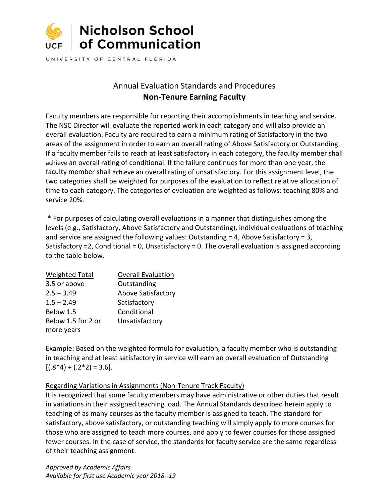

UNIVERSITY OF CENTRAL FLORIDA

# Annual Evaluation Standards and Procedures **Non-Tenure Earning Faculty**

Faculty members are responsible for reporting their accomplishments in teaching and service. The NSC Director will evaluate the reported work in each category and will also provide an overall evaluation. Faculty are required to earn a minimum rating of Satisfactory in the two areas of the assignment in order to earn an overall rating of Above Satisfactory or Outstanding. If a faculty member fails to reach at least satisfactory in each category, the faculty member shall achieve an overall rating of conditional. If the failure continues for more than one year, the faculty member shall achieve an overall rating of unsatisfactory. For this assignment level, the two categories shall be weighted for purposes of the evaluation to reflect relative allocation of time to each category. The categories of evaluation are weighted as follows: teaching 80% and service 20%.

\* For purposes of calculating overall evaluations in a manner that distinguishes among the levels (e.g., Satisfactory, Above Satisfactory and Outstanding), individual evaluations of teaching and service are assigned the following values: Outstanding = 4, Above Satisfactory = 3, Satisfactory =2, Conditional = 0, Unsatisfactory = 0. The overall evaluation is assigned according to the table below.

| <b>Weighted Total</b> | <b>Overall Evaluation</b> |
|-----------------------|---------------------------|
| 3.5 or above          | Outstanding               |
| $2.5 - 3.49$          | Above Satisfactory        |
| $1.5 - 2.49$          | Satisfactory              |
| Below 1.5             | Conditional               |
| Below 1.5 for 2 or    | Unsatisfactory            |
| more years            |                           |

Example: Based on the weighted formula for evaluation, a faculty member who is outstanding in teaching and at least satisfactory in service will earn an overall evaluation of Outstanding  $[(.8*4) + (.2*2) = 3.6].$ 

## Regarding Variations in Assignments (Non-Tenure Track Faculty)

It is recognized that some faculty members may have administrative or other duties that result in variations in their assigned teaching load. The Annual Standards described herein apply to teaching of as many courses as the faculty member is assigned to teach. The standard for satisfactory, above satisfactory, or outstanding teaching will simply apply to more courses for those who are assigned to teach more courses, and apply to fewer courses for those assigned fewer courses. In the case of service, the standards for faculty service are the same regardless of their teaching assignment.

*Approved by Academic Affairs Available for first use Academic year 2018--19*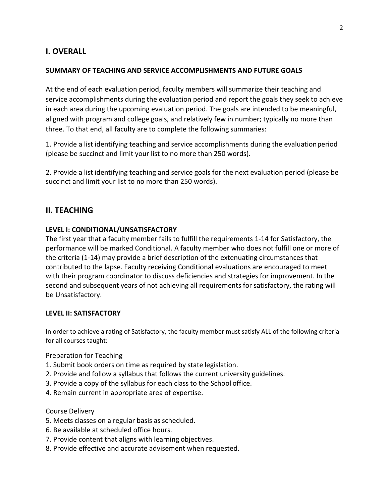## **I. OVERALL**

#### **SUMMARY OF TEACHING AND SERVICE ACCOMPLISHMENTS AND FUTURE GOALS**

At the end of each evaluation period, faculty members will summarize their teaching and service accomplishments during the evaluation period and report the goals they seek to achieve in each area during the upcoming evaluation period. The goals are intended to be meaningful, aligned with program and college goals, and relatively few in number; typically no more than three. To that end, all faculty are to complete the following summaries:

1. Provide a list identifying teaching and service accomplishments during the evaluationperiod (please be succinct and limit your list to no more than 250 words).

2. Provide a list identifying teaching and service goals for the next evaluation period (please be succinct and limit your list to no more than 250 words).

## **II. TEACHING**

#### **LEVEL I: CONDITIONAL/UNSATISFACTORY**

The first year that a faculty member fails to fulfill the requirements 1-14 for Satisfactory, the performance will be marked Conditional. A faculty member who does not fulfill one or more of the criteria (1-14) may provide a brief description of the extenuating circumstances that contributed to the lapse. Faculty receiving Conditional evaluations are encouraged to meet with their program coordinator to discuss deficiencies and strategies for improvement. In the second and subsequent years of not achieving all requirements for satisfactory, the rating will be Unsatisfactory.

#### **LEVEL II: SATISFACTORY**

In order to achieve a rating of Satisfactory, the faculty member must satisfy ALL of the following criteria for all courses taught:

#### Preparation for Teaching

- 1. Submit book orders on time as required by state legislation.
- 2. Provide and follow a syllabus that follows the current university guidelines.
- 3. Provide a copy of the syllabus for each class to the School office.
- 4. Remain current in appropriate area of expertise.

#### Course Delivery

- 5. Meets classes on a regular basis as scheduled.
- 6. Be available at scheduled office hours.
- 7. Provide content that aligns with learning objectives.
- 8. Provide effective and accurate advisement when requested.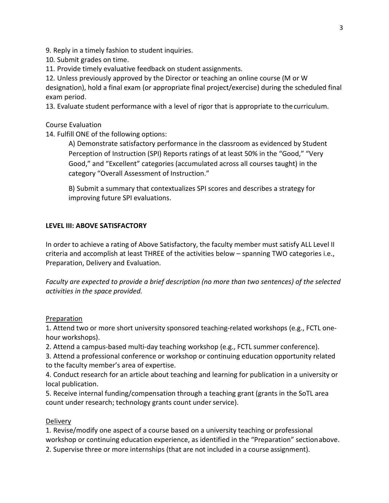9. Reply in a timely fashion to student inquiries.

10. Submit grades on time.

11. Provide timely evaluative feedback on student assignments.

12. Unless previously approved by the Director or teaching an online course (M or W designation), hold a final exam (or appropriate final project/exercise) during the scheduled final exam period.

13. Evaluate student performance with a level of rigor that is appropriate to thecurriculum.

Course Evaluation

14. Fulfill ONE of the following options:

A) Demonstrate satisfactory performance in the classroom as evidenced by Student Perception of Instruction (SPI) Reports ratings of at least 50% in the "Good," "Very Good," and "Excellent" categories (accumulated across all courses taught) in the category "Overall Assessment of Instruction."

B) Submit a summary that contextualizes SPI scores and describes a strategy for improving future SPI evaluations.

#### **LEVEL III: ABOVE SATISFACTORY**

In order to achieve a rating of Above Satisfactory, the faculty member must satisfy ALL Level II criteria and accomplish at least THREE of the activities below – spanning TWO categories i.e., Preparation, Delivery and Evaluation.

*Faculty are expected to provide a brief description (no more than two sentences) of the selected activities in the space provided.*

#### Preparation

1. Attend two or more short university sponsored teaching-related workshops (e.g., FCTL onehour workshops).

2. Attend a campus-based multi-day teaching workshop (e.g., FCTL summer conference).

3. Attend a professional conference or workshop or continuing education opportunity related to the faculty member's area of expertise.

4. Conduct research for an article about teaching and learning for publication in a university or local publication.

5. Receive internal funding/compensation through a teaching grant (grants in the SoTL area count under research; technology grants count under service).

#### **Delivery**

1. Revise/modify one aspect of a course based on a university teaching or professional workshop or continuing education experience, as identified in the "Preparation" sectionabove. 2. Supervise three or more internships (that are not included in a course assignment).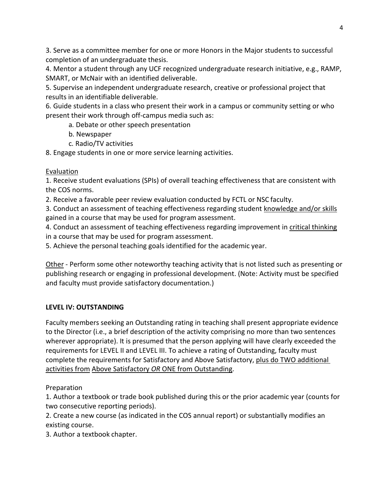3. Serve as a committee member for one or more Honors in the Major students to successful completion of an undergraduate thesis.

4. Mentor a student through any UCF recognized undergraduate research initiative, e.g., RAMP, SMART, or McNair with an identified deliverable.

5. Supervise an independent undergraduate research, creative or professional project that results in an identifiable deliverable.

6. Guide students in a class who present their work in a campus or community setting or who present their work through off-campus media such as:

a. Debate or other speech presentation

- b. Newspaper
- c. Radio/TV activities

8. Engage students in one or more service learning activities.

## **Evaluation**

1. Receive student evaluations (SPIs) of overall teaching effectiveness that are consistent with the COS norms.

2. Receive a favorable peer review evaluation conducted by FCTL or NSC faculty.

3. Conduct an assessment of teaching effectiveness regarding student knowledge and/or skills gained in a course that may be used for program assessment.

4. Conduct an assessment of teaching effectiveness regarding improvement in critical thinking in a course that may be used for program assessment.

5. Achieve the personal teaching goals identified for the academic year.

Other - Perform some other noteworthy teaching activity that is not listed such as presenting or publishing research or engaging in professional development. (Note: Activity must be specified and faculty must provide satisfactory documentation.)

## **LEVEL IV: OUTSTANDING**

Faculty members seeking an Outstanding rating in teaching shall present appropriate evidence to the Director (i.e., a brief description of the activity comprising no more than two sentences wherever appropriate). It is presumed that the person applying will have clearly exceeded the requirements for LEVEL II and LEVEL III. To achieve a rating of Outstanding, faculty must complete the requirements for Satisfactory and Above Satisfactory, plus do TWO additional activities from Above Satisfactory *OR* ONE from Outstanding.

## Preparation

1. Author a textbook or trade book published during this or the prior academic year (counts for two consecutive reporting periods).

2. Create a new course (as indicated in the COS annual report) or substantially modifies an existing course.

3. Author a textbook chapter.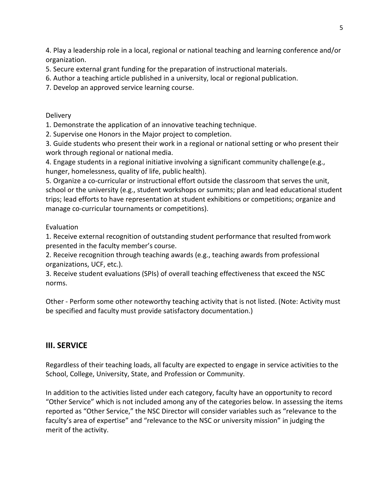4. Play a leadership role in a local, regional or national teaching and learning conference and/or organization.

5. Secure external grant funding for the preparation of instructional materials.

6. Author a teaching article published in a university, local or regional publication.

7. Develop an approved service learning course.

**Delivery** 

1. Demonstrate the application of an innovative teaching technique.

2. Supervise one Honors in the Major project to completion.

3. Guide students who present their work in a regional or national setting or who present their work through regional or national media.

4. Engage students in a regional initiative involving a significant community challenge(e.g., hunger, homelessness, quality of life, public health).

5. Organize a co-curricular or instructional effort outside the classroom that serves the unit, school or the university (e.g., student workshops or summits; plan and lead educational student trips; lead efforts to have representation at student exhibitions or competitions; organize and manage co-curricular tournaments or competitions).

Evaluation

1. Receive external recognition of outstanding student performance that resulted fromwork presented in the faculty member's course.

2. Receive recognition through teaching awards (e.g., teaching awards from professional organizations, UCF, etc.).

3. Receive student evaluations (SPIs) of overall teaching effectiveness that exceed the NSC norms.

Other - Perform some other noteworthy teaching activity that is not listed. (Note: Activity must be specified and faculty must provide satisfactory documentation.)

## **III. SERVICE**

Regardless of their teaching loads, all faculty are expected to engage in service activities to the School, College, University, State, and Profession or Community.

In addition to the activities listed under each category, faculty have an opportunity to record "Other Service" which is not included among any of the categories below. In assessing the items reported as "Other Service," the NSC Director will consider variables such as "relevance to the faculty's area of expertise" and "relevance to the NSC or university mission" in judging the merit of the activity.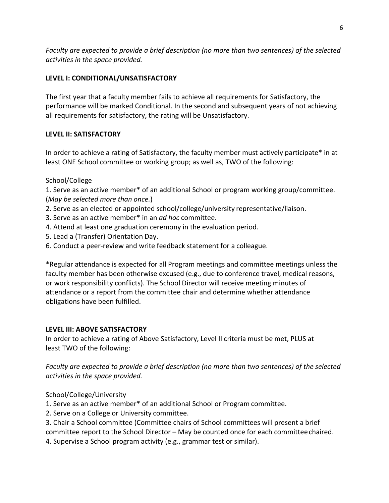*Faculty are expected to provide a brief description (no more than two sentences) of the selected activities in the space provided.*

## **LEVEL I: CONDITIONAL/UNSATISFACTORY**

The first year that a faculty member fails to achieve all requirements for Satisfactory, the performance will be marked Conditional. In the second and subsequent years of not achieving all requirements for satisfactory, the rating will be Unsatisfactory.

## **LEVEL II: SATISFACTORY**

In order to achieve a rating of Satisfactory, the faculty member must actively participate\* in at least ONE School committee or working group; as well as, TWO of the following:

## School/College

1. Serve as an active member\* of an additional School or program working group/committee. (*May be selected more than once.*)

- 2. Serve as an elected or appointed school/college/university representative/liaison.
- 3. Serve as an active member\* in an *ad hoc* committee.
- 4. Attend at least one graduation ceremony in the evaluation period.
- 5. Lead a (Transfer) Orientation Day.
- 6. Conduct a peer-review and write feedback statement for a colleague.

\*Regular attendance is expected for all Program meetings and committee meetings unless the faculty member has been otherwise excused (e.g., due to conference travel, medical reasons, or work responsibility conflicts). The School Director will receive meeting minutes of attendance or a report from the committee chair and determine whether attendance obligations have been fulfilled.

## **LEVEL III: ABOVE SATISFACTORY**

In order to achieve a rating of Above Satisfactory, Level II criteria must be met, PLUS at least TWO of the following:

*Faculty are expected to provide a brief description (no more than two sentences) of the selected activities in the space provided.*

School/College/University

- 1. Serve as an active member\* of an additional School or Program committee.
- 2. Serve on a College or University committee.

3. Chair a School committee (Committee chairs of School committees will present a brief committee report to the School Director – May be counted once for each committeechaired.

4. Supervise a School program activity (e.g., grammar test or similar).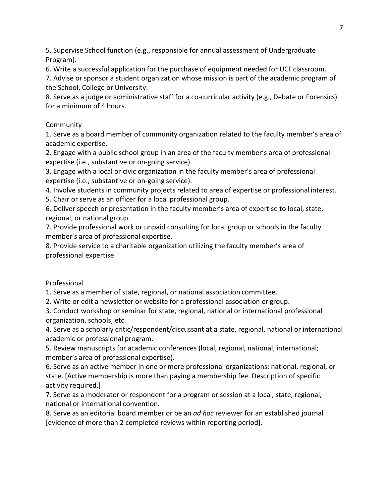5. Supervise School function (e.g., responsible for annual assessment of Undergraduate Program).

6. Write a successful application for the purchase of equipment needed for UCF classroom.

7. Advise or sponsor a student organization whose mission is part of the academic program of the School, College or University.

8. Serve as a judge or administrative staff for a co-curricular activity (e.g., Debate or Forensics) for a minimum of 4 hours.

## Community

1. Serve as a board member of community organization related to the faculty member's area of academic expertise.

2. Engage with a public school group in an area of the faculty member's area of professional expertise (i.e., substantive or on-going service).

3. Engage with a local or civic organization in the faculty member's area of professional expertise (i.e., substantive or on-going service).

4. Involve students in community projects related to area of expertise or professional interest.

5. Chair or serve as an officer for a local professional group.

6. Deliver speech or presentation in the faculty member's area of expertise to local, state, regional, or national group.

7. Provide professional work or unpaid consulting for local group or schools in the faculty member's area of professional expertise.

8. Provide service to a charitable organization utilizing the faculty member's area of professional expertise.

## Professional

1. Serve as a member of state, regional, or national association committee.

2. Write or edit a newsletter or website for a professional association or group.

3. Conduct workshop or seminar for state, regional, national or international professional organization, schools, etc.

4. Serve as a scholarly critic/respondent/discussant at a state, regional, national or international academic or professional program.

5. Review manuscripts for academic conferences (local, regional, national, international; member's area of professional expertise).

6. Serve as an active member in one or more professional organizations: national, regional, or state. [Active membership is more than paying a membership fee. Description of specific activity required.]

7. Serve as a moderator or respondent for a program or session at a local, state, regional, national or international convention.

8. Serve as an editorial board member or be an *ad hoc* reviewer for an established journal [evidence of more than 2 completed reviews within reporting period].